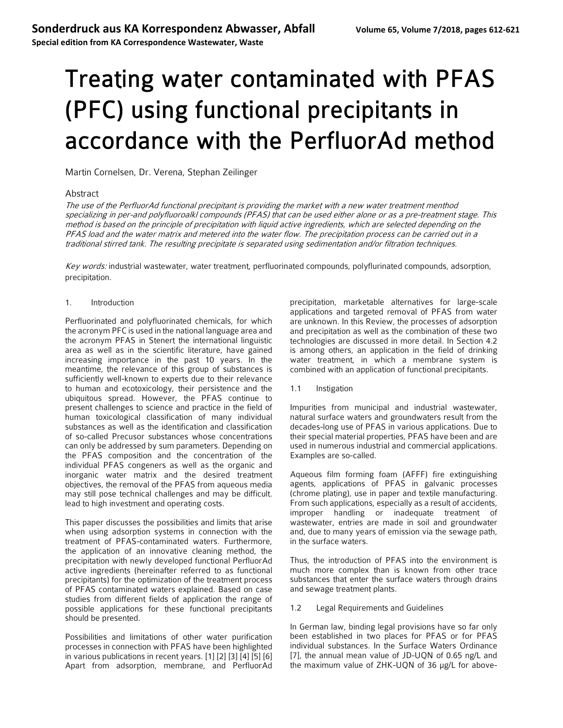**Special edition from KA Correspondence Wastewater, Waste**

# Treating water contaminated with PFAS (PFC) using functional precipitants in accordance with the PerfluorAd method

Martin Cornelsen, Dr. Verena, Stephan Zeilinger

## Abstract

The use of the PerfluorAd functional precipitant is providing the market with a new water treatment menthod specializing in per-and polyfluoroalkl compounds (PFAS) that can be used either alone or as a pre-treatment stage. This method is based on the principle of precipitation with liquid active ingredients, which are selected depending on the PFAS load and the water matrix and metered into the water flow. The precipitation process can be carried out in a traditional stirred tank. The resulting precipitate is separated using sedimentation and/or filtration techniques.

Key words: industrial wastewater, water treatment, perfluorinated compounds, polyflurinated compounds, adsorption, precipitation.

#### 1. Introduction

Perfluorinated and polyfluorinated chemicals, for which the acronym PFC is used in the national language area and the acronym PFAS in Stenert the international linguistic area as well as in the scientific literature, have gained increasing importance in the past 10 years. In the meantime, the relevance of this group of substances is sufficiently well-known to experts due to their relevance to human and ecotoxicology, their persistence and the ubiquitous spread. However, the PFAS continue to present challenges to science and practice in the field of human toxicological classification of many individual substances as well as the identification and classification of so-called Precusor substances whose concentrations can only be addressed by sum parameters. Depending on the PFAS composition and the concentration of the individual PFAS congeners as well as the organic and inorganic water matrix and the desired treatment objectives, the removal of the PFAS from aqueous media may still pose technical challenges and may be difficult. lead to high investment and operating costs.

This paper discusses the possibilities and limits that arise when using adsorption systems in connection with the treatment of PFAS-contaminated waters. Furthermore, the application of an innovative cleaning method, the precipitation with newly developed functional PerfluorAd active ingredients (hereinafter referred to as functional precipitants) for the optimization of the treatment process of PFAS contaminated waters explained. Based on case studies from different fields of application the range of possible applications for these functional precipitants should be presented.

Possibilities and limitations of other water purification processes in connection with PFAS have been highlighted in various publications in recent years. [1] [2] [3] [4] [5] [6] Apart from adsorption, membrane, and PerfluorAd

precipitation, marketable alternatives for large-scale applications and targeted removal of PFAS from water are unknown. In this Review, the processes of adsorption and precipitation as well as the combination of these two technologies are discussed in more detail. In Section 4.2 is among others, an application in the field of drinking water treatment, in which a membrane system is combined with an application of functional precipitants.

1.1 Instigation

Impurities from municipal and industrial wastewater, natural surface waters and groundwaters result from the decades-long use of PFAS in various applications. Due to their special material properties, PFAS have been and are used in numerous industrial and commercial applications. Examples are so-called.

Aqueous film forming foam (AFFF) fire extinguishing agents, applications of PFAS in galvanic processes (chrome plating), use in paper and textile manufacturing. From such applications, especially as a result of accidents, improper handling or inadequate treatment of wastewater, entries are made in soil and groundwater and, due to many years of emission via the sewage path, in the surface waters.

Thus, the introduction of PFAS into the environment is much more complex than is known from other trace substances that enter the surface waters through drains and sewage treatment plants.

#### 1.2 Legal Requirements and Guidelines

In German law, binding legal provisions have so far only been established in two places for PFAS or for PFAS individual substances. In the Surface Waters Ordinance [7], the annual mean value of JD-UQN of 0.65 ng/L and the maximum value of ZHK-UQN of 36 μg/L for above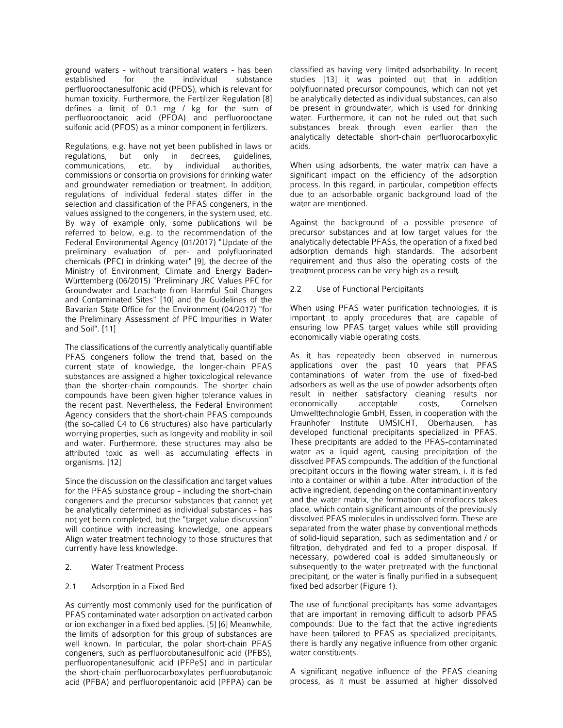ground waters - without transitional waters - has been established for the individual substance perfluorooctanesulfonic acid (PFOS), which is relevant for human toxicity. Furthermore, the Fertilizer Regulation [8] defines a limit of 0.1 mg / kg for the sum of perfluorooctanoic acid (PFOA) and perfluorooctane sulfonic acid (PFOS) as a minor component in fertilizers.

Regulations, e.g. have not yet been published in laws or<br>regulations, but only in decrees, guidelines, only in decrees, guidelines,<br>etc. by individual authorities, communications, commissions or consortia on provisions for drinking water and groundwater remediation or treatment. In addition, regulations of individual federal states differ in the selection and classification of the PFAS congeners, in the values assigned to the congeners, in the system used, etc. By way of example only, some publications will be referred to below, e.g. to the recommendation of the Federal Environmental Agency (01/2017) "Update of the preliminary evaluation of per- and polyfluorinated chemicals (PFC) in drinking water" [9], the decree of the Ministry of Environment, Climate and Energy Baden-Württemberg (06/2015) "Preliminary JRC Values PFC for Groundwater and Leachate from Harmful Soil Changes and Contaminated Sites" [10] and the Guidelines of the Bavarian State Office for the Environment (04/2017) "for the Preliminary Assessment of PFC Impurities in Water and Soil". [11]

The classifications of the currently analytically quantifiable PFAS congeners follow the trend that, based on the current state of knowledge, the longer-chain PFAS substances are assigned a higher toxicological relevance than the shorter-chain compounds. The shorter chain compounds have been given higher tolerance values in the recent past. Nevertheless, the Federal Environment Agency considers that the short-chain PFAS compounds (the so-called C4 to C6 structures) also have particularly worrying properties, such as longevity and mobility in soil and water. Furthermore, these structures may also be attributed toxic as well as accumulating effects in organisms. [12]

Since the discussion on the classification and target values for the PFAS substance group - including the short-chain congeners and the precursor substances that cannot yet be analytically determined as individual substances - has not yet been completed, but the "target value discussion" will continue with increasing knowledge, one appears Align water treatment technology to those structures that currently have less knowledge.

#### 2. Water Treatment Process

#### 2.1 Adsorption in a Fixed Bed

As currently most commonly used for the purification of PFAS contaminated water adsorption on activated carbon or ion exchanger in a fixed bed applies. [5] [6] Meanwhile, the limits of adsorption for this group of substances are well known. In particular, the polar short-chain PFAS congeners, such as perfluorobutanesulfonic acid (PFBS), perfluoropentanesulfonic acid (PFPeS) and in particular the short-chain perfluorocarboxylates perfluorobutanoic acid (PFBA) and perfluoropentanoic acid (PFPA) can be

classified as having very limited adsorbability. In recent studies [13] it was pointed out that in addition polyfluorinated precursor compounds, which can not yet be analytically detected as individual substances, can also be present in groundwater, which is used for drinking water. Furthermore, it can not be ruled out that such substances break through even earlier than the analytically detectable short-chain perfluorocarboxylic acids.

When using adsorbents, the water matrix can have a significant impact on the efficiency of the adsorption process. In this regard, in particular, competition effects due to an adsorbable organic background load of the water are mentioned.

Against the background of a possible presence of precursor substances and at low target values for the analytically detectable PFASs, the operation of a fixed bed adsorption demands high standards. The adsorbent requirement and thus also the operating costs of the treatment process can be very high as a result.

#### 2.2 Use of Functional Percipitants

When using PFAS water purification technologies, it is important to apply procedures that are capable of ensuring low PFAS target values while still providing economically viable operating costs.

As it has repeatedly been observed in numerous applications over the past 10 years that PFAS contaminations of water from the use of fixed-bed adsorbers as well as the use of powder adsorbents often result in neither satisfactory cleaning results nor economically acceptable costs, Cornelsen Umwelttechnologie GmbH, Essen, in cooperation with the Fraunhofer Institute UMSICHT, Oberhausen, has developed functional precipitants specialized in PFAS. These precipitants are added to the PFAS-contaminated water as a liquid agent, causing precipitation of the dissolved PFAS compounds. The addition of the functional precipitant occurs in the flowing water stream, i. it is fed into a container or within a tube. After introduction of the active ingredient, depending on the contaminant inventory and the water matrix, the formation of microfloccs takes place, which contain significant amounts of the previously dissolved PFAS molecules in undissolved form. These are separated from the water phase by conventional methods of solid-liquid separation, such as sedimentation and / or filtration, dehydrated and fed to a proper disposal. If necessary, powdered coal is added simultaneously or subsequently to the water pretreated with the functional precipitant, or the water is finally purified in a subsequent fixed bed adsorber (Figure 1).

The use of functional precipitants has some advantages that are important in removing difficult to adsorb PFAS compounds: Due to the fact that the active ingredients have been tailored to PFAS as specialized precipitants, there is hardly any negative influence from other organic water constituents.

A significant negative influence of the PFAS cleaning process, as it must be assumed at higher dissolved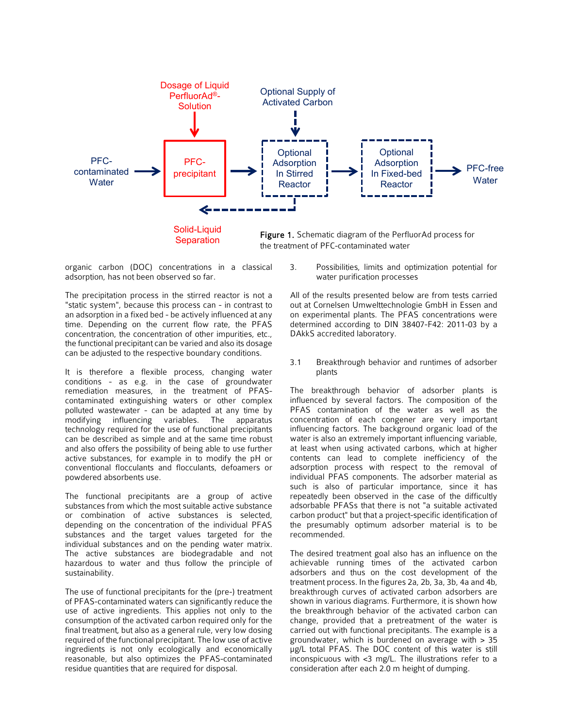

organic carbon (DOC) concentrations in a classical adsorption, has not been observed so far.

The precipitation process in the stirred reactor is not a "static system", because this process can - in contrast to an adsorption in a fixed bed - be actively influenced at any time. Depending on the current flow rate, the PFAS concentration, the concentration of other impurities, etc., the functional precipitant can be varied and also its dosage can be adjusted to the respective boundary conditions.

It is therefore a flexible process, changing water conditions - as e.g. in the case of groundwater remediation measures, in the treatment of PFAScontaminated extinguishing waters or other complex polluted wastewater - can be adapted at any time by modifying influencing variables. The apparatus technology required for the use of functional precipitants can be described as simple and at the same time robust and also offers the possibility of being able to use further active substances, for example in to modify the pH or conventional flocculants and flocculants, defoamers or powdered absorbents use.

The functional precipitants are a group of active substances from which the most suitable active substance or combination of active substances is selected, depending on the concentration of the individual PFAS substances and the target values targeted for the individual substances and on the pending water matrix. The active substances are biodegradable and not hazardous to water and thus follow the principle of sustainability.

The use of functional precipitants for the (pre-) treatment of PFAS-contaminated waters can significantly reduce the use of active ingredients. This applies not only to the consumption of the activated carbon required only for the final treatment, but also as a general rule, very low dosing required of the functional precipitant. The low use of active ingredients is not only ecologically and economically reasonable, but also optimizes the PFAS-contaminated residue quantities that are required for disposal.

3. Possibilities, limits and optimization potential for water purification processes

All of the results presented below are from tests carried out at Cornelsen Umwelttechnologie GmbH in Essen and on experimental plants. The PFAS concentrations were determined according to DIN 38407-F42: 2011-03 by a DAkkS accredited laboratory.

3.1 Breakthrough behavior and runtimes of adsorber plants

The breakthrough behavior of adsorber plants is influenced by several factors. The composition of the PFAS contamination of the water as well as the concentration of each congener are very important influencing factors. The background organic load of the water is also an extremely important influencing variable, at least when using activated carbons, which at higher contents can lead to complete inefficiency of the adsorption process with respect to the removal of individual PFAS components. The adsorber material as such is also of particular importance, since it has repeatedly been observed in the case of the difficultly adsorbable PFASs that there is not "a suitable activated carbon product" but that a project-specific identification of the presumably optimum adsorber material is to be recommended.

The desired treatment goal also has an influence on the achievable running times of the activated carbon adsorbers and thus on the cost development of the treatment process. In the figures 2a, 2b, 3a, 3b, 4a and 4b, breakthrough curves of activated carbon adsorbers are shown in various diagrams. Furthermore, it is shown how the breakthrough behavior of the activated carbon can change, provided that a pretreatment of the water is carried out with functional precipitants. The example is a groundwater, which is burdened on average with > 35 μg/L total PFAS. The DOC content of this water is still inconspicuous with <3 mg/L. The illustrations refer to a consideration after each 2.0 m height of dumping.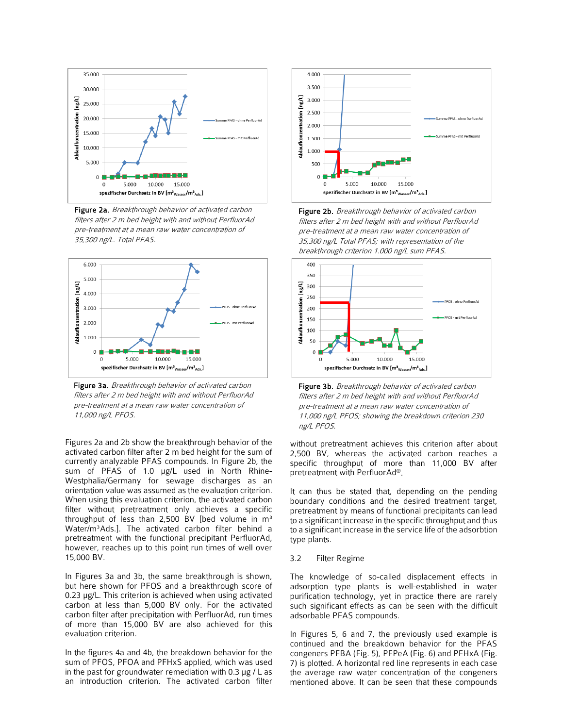

Figure 2a. Breakthrough behavior of activated carbon filters after 2 m bed height with and without PerfluorAd pre-treatment at a mean raw water concentration of 35,300 ng/L. Total PFAS.



Figure 3a. Breakthrough behavior of activated carbon filters after 2 m bed height with and without PerfluorAd pre-treatment at a mean raw water concentration of 11,000 ng/L PFOS.

Figures 2a and 2b show the breakthrough behavior of the activated carbon filter after 2 m bed height for the sum of currently analyzable PFAS compounds. In Figure 2b, the sum of PFAS of 1.0 µg/L used in North Rhine-Westphalia/Germany for sewage discharges as an orientation value was assumed as the evaluation criterion. When using this evaluation criterion, the activated carbon filter without pretreatment only achieves a specific throughput of less than 2,500 BV [bed volume in  $m<sup>3</sup>$ Water/m³Ads.]. The activated carbon filter behind a pretreatment with the functional precipitant PerfluorAd, however, reaches up to this point run times of well over 15,000 BV.

In Figures 3a and 3b, the same breakthrough is shown, but here shown for PFOS and a breakthrough score of 0.23 μg/L. This criterion is achieved when using activated carbon at less than 5,000 BV only. For the activated carbon filter after precipitation with PerfluorAd, run times of more than 15,000 BV are also achieved for this evaluation criterion.

In the figures 4a and 4b, the breakdown behavior for the sum of PFOS, PFOA and PFHxS applied, which was used in the past for groundwater remediation with 0.3 μg / L as an introduction criterion. The activated carbon filter



Figure 2b. Breakthrough behavior of activated carbon filters after 2 m bed height with and without PerfluorAd pre-treatment at a mean raw water concentration of 35,300 ng/L Total PFAS; with representation of the breakthrough criterion 1.000 ng/L sum PFAS.



Figure 3b. Breakthrough behavior of activated carbon filters after 2 m bed height with and without PerfluorAd pre-treatment at a mean raw water concentration of 11,000 ng/L PFOS; showing the breakdown criterion 230 ng/L PFOS.

without pretreatment achieves this criterion after about 2,500 BV, whereas the activated carbon reaches a specific throughput of more than 11,000 BV after pretreatment with PerfluorAd®.

It can thus be stated that, depending on the pending boundary conditions and the desired treatment target, pretreatment by means of functional precipitants can lead to a significant increase in the specific throughput and thus to a significant increase in the service life of the adsorbtion type plants.

3.2 Filter Regime

The knowledge of so-called displacement effects in adsorption type plants is well-established in water purification technology, yet in practice there are rarely such significant effects as can be seen with the difficult adsorbable PFAS compounds.

In Figures 5, 6 and 7, the previously used example is continued and the breakdown behavior for the PFAS congeners PFBA (Fig. 5), PFPeA (Fig. 6) and PFHxA (Fig. 7) is plotted. A horizontal red line represents in each case the average raw water concentration of the congeners mentioned above. It can be seen that these compounds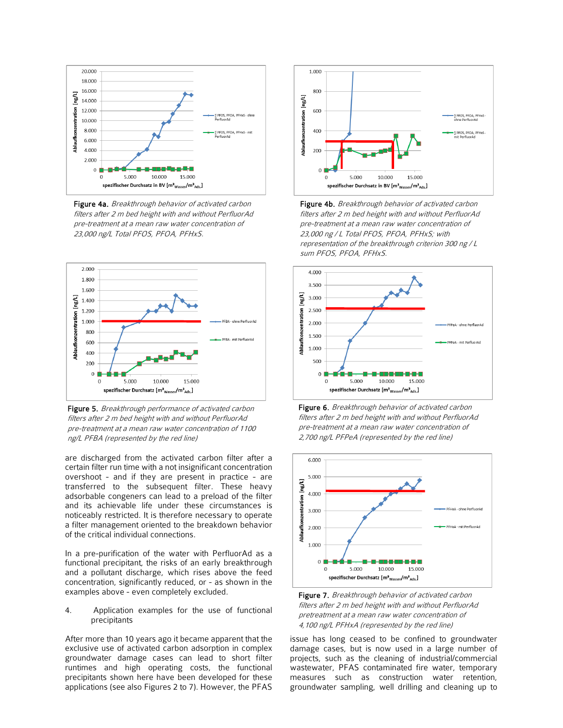

Figure 4a. Breakthrough behavior of activated carbon filters after 2 m bed height with and without PerfluorAd pre-treatment at a mean raw water concentration of 23,000 ng/L Total PFOS, PFOA, PFHxS.



Figure 5. Breakthrough performance of activated carbon filters after 2 m bed height with and without PerfluorAd pre-treatment at a mean raw water concentration of 1100 ng/L PFBA (represented by the red line)

are discharged from the activated carbon filter after a certain filter run time with a not insignificant concentration overshoot - and if they are present in practice - are transferred to the subsequent filter. These heavy adsorbable congeners can lead to a preload of the filter and its achievable life under these circumstances is noticeably restricted. It is therefore necessary to operate a filter management oriented to the breakdown behavior of the critical individual connections.

In a pre-purification of the water with PerfluorAd as a functional precipitant, the risks of an early breakthrough and a pollutant discharge, which rises above the feed concentration, significantly reduced, or - as shown in the examples above - even completely excluded.

4. Application examples for the use of functional precipitants

After more than 10 years ago it became apparent that the exclusive use of activated carbon adsorption in complex groundwater damage cases can lead to short filter runtimes and high operating costs, the functional precipitants shown here have been developed for these applications (see also Figures 2 to 7). However, the PFAS



Figure 4b. Breakthrough behavior of activated carbon filters after 2 m bed height with and without PerfluorAd pre-treatment at a mean raw water concentration of 23,000 ng / L Total PFOS, PFOA, PFHxS; with representation of the breakthrough criterion 300 ng / L sum PFOS, PFOA, PFHxS.









issue has long ceased to be confined to groundwater damage cases, but is now used in a large number of projects, such as the cleaning of industrial/commercial wastewater, PFAS contaminated fire water, temporary measures such as construction water retention, groundwater sampling, well drilling and cleaning up to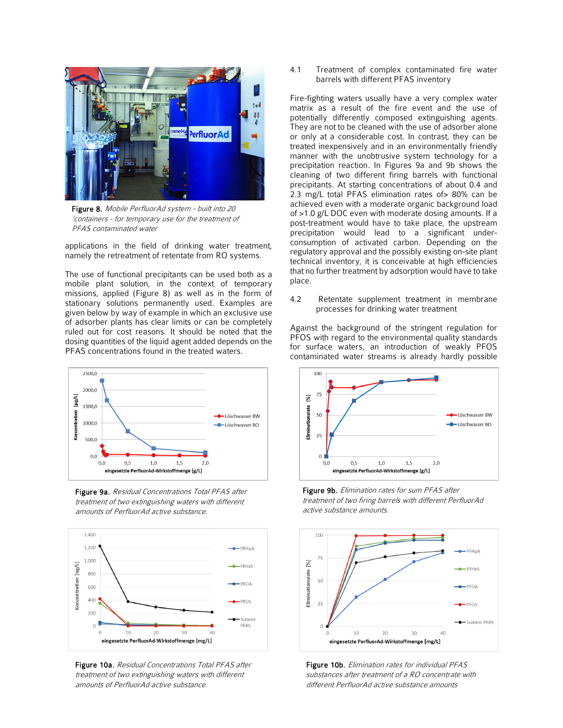

Figure 8. Mobile PerfluorAd system - built into 20 'containers - for temporary use for the treatment of PFAS contaminated water

applications in the field of drinking water treatment, namely the retreatment of retentate from RO systems.

The use of functional precipitants can be used both as a mobile plant solution, in the context of temporary missions, applied (Figure 8) as well as in the form of stationary solutions permanently used. Examples are given below by way of example in which an exclusive use of adsorber plants has clear limits or can be completely ruled out for cost reasons. It should be noted that the dosing quantities of the liquid agent added depends on the PFAS concentrations found in the treated waters.



Figure 9a. Residual Concentrations Total PFAS after treatment of two extinguishing waters with different amounts of PerfluorAd active substance.



Figure 10a. Residual Concentrations Total PFAS after treatment of two extinguishing waters with different amounts of PerfluorAd active substance.

4.1 Treatment of complex contaminated fire water barrels with different PFAS inventory

Fire-fighting waters usually have a very complex water matrix as a result of the fire event and the use of potentially differently composed extinguishing agents. They are not to be cleaned with the use of adsorber alone or only at a considerable cost. In contrast, they can be treated inexpensively and in an environmentally friendly manner with the unobtrusive system technology for a precipitation reaction. In Figures 9a and 9b shows the cleaning of two different firing barrels with functional precipitants. At starting concentrations of about 0.4 and 2.3 mg/L total PFAS elimination rates of> 80% can be achieved even with a moderate organic background load of >1.0 g/L DOC even with moderate dosing amounts. If a post-treatment would have to take place, the upstream precipitation would lead to a significant underconsumption of activated carbon. Depending on the regulatory approval and the possibly existing on-site plant technical inventory, it is conceivable at high efficiencies that no further treatment by adsorption would have to take place.

4.2 Retentate supplement treatment in membrane processes for drinking water treatment

Against the background of the stringent regulation for PFOS with regard to the environmental quality standards for surface waters, an introduction of weakly PFOS contaminated water streams is already hardly possible



Figure 9b. Elimination rates for sum PFAS after treatment of two firing barrels with different PerfluorAd active substance amounts.



Figure 10b. Elimination rates for individual PFAS substances after treatment of a RO concentrate with different PerfluorAd active substance amounts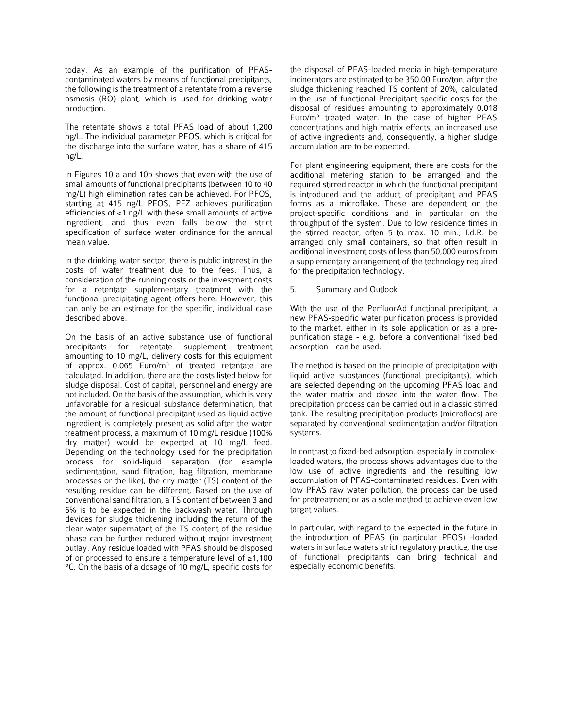today. As an example of the purification of PFAScontaminated waters by means of functional precipitants, the following is the treatment of a retentate from a reverse osmosis (RO) plant, which is used for drinking water production.

The retentate shows a total PFAS load of about 1,200 ng/L. The individual parameter PFOS, which is critical for the discharge into the surface water, has a share of 415 ng/L.

In Figures 10 a and 10b shows that even with the use of small amounts of functional precipitants (between 10 to 40 mg/L) high elimination rates can be achieved. For PFOS, starting at 415 ng/L PFOS, PFZ achieves purification efficiencies of <1 ng/L with these small amounts of active ingredient, and thus even falls below the strict specification of surface water ordinance for the annual mean value.

In the drinking water sector, there is public interest in the costs of water treatment due to the fees. Thus, a consideration of the running costs or the investment costs for a retentate supplementary treatment with the functional precipitating agent offers here. However, this can only be an estimate for the specific, individual case described above.

On the basis of an active substance use of functional precipitants for retentate supplement treatment amounting to 10 mg/L, delivery costs for this equipment of approx.  $0.065$  Euro/m<sup>3</sup> of treated retentate are calculated. In addition, there are the costs listed below for sludge disposal. Cost of capital, personnel and energy are not included. On the basis of the assumption, which is very unfavorable for a residual substance determination, that the amount of functional precipitant used as liquid active ingredient is completely present as solid after the water treatment process, a maximum of 10 mg/L residue (100% dry matter) would be expected at 10 mg/L feed. Depending on the technology used for the precipitation process for solid-liquid separation (for example sedimentation, sand filtration, bag filtration, membrane processes or the like), the dry matter (TS) content of the resulting residue can be different. Based on the use of conventional sand filtration, a TS content of between 3 and 6% is to be expected in the backwash water. Through devices for sludge thickening including the return of the clear water supernatant of the TS content of the residue phase can be further reduced without major investment outlay. Any residue loaded with PFAS should be disposed of or processed to ensure a temperature level of ≥1,100 °C. On the basis of a dosage of 10 mg/L, specific costs for

the disposal of PFAS-loaded media in high-temperature incinerators are estimated to be 350.00 Euro/ton, after the sludge thickening reached TS content of 20%, calculated in the use of functional Precipitant-specific costs for the disposal of residues amounting to approximately 0.018 Euro/m³ treated water. In the case of higher PFAS concentrations and high matrix effects, an increased use of active ingredients and, consequently, a higher sludge accumulation are to be expected.

For plant engineering equipment, there are costs for the additional metering station to be arranged and the required stirred reactor in which the functional precipitant is introduced and the adduct of precipitant and PFAS forms as a microflake. These are dependent on the project-specific conditions and in particular on the throughput of the system. Due to low residence times in the stirred reactor, often 5 to max. 10 min., I.d.R. be arranged only small containers, so that often result in additional investment costs of less than 50,000 euros from a supplementary arrangement of the technology required for the precipitation technology.

#### 5. Summary and Outlook

With the use of the PerfluorAd functional precipitant, a new PFAS-specific water purification process is provided to the market, either in its sole application or as a prepurification stage - e.g. before a conventional fixed bed adsorption - can be used.

The method is based on the principle of precipitation with liquid active substances (functional precipitants), which are selected depending on the upcoming PFAS load and the water matrix and dosed into the water flow. The precipitation process can be carried out in a classic stirred tank. The resulting precipitation products (microflocs) are separated by conventional sedimentation and/or filtration systems.

In contrast to fixed-bed adsorption, especially in complexloaded waters, the process shows advantages due to the low use of active ingredients and the resulting low accumulation of PFAS-contaminated residues. Even with low PFAS raw water pollution, the process can be used for pretreatment or as a sole method to achieve even low target values.

In particular, with regard to the expected in the future in the introduction of PFAS (in particular PFOS) -loaded waters in surface waters strict regulatory practice, the use of functional precipitants can bring technical and especially economic benefits.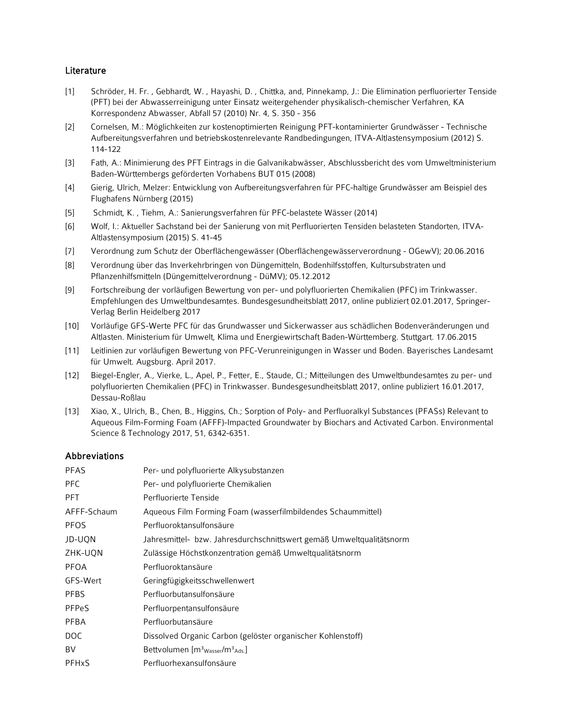## **Literature**

- [1] Schröder, H. Fr. , Gebhardt, W. , Hayashi, D. , Chittka, and, Pinnekamp, J.: Die Elimination perfluorierter Tenside (PFT) bei der Abwasserreinigung unter Einsatz weitergehender physikalisch-chemischer Verfahren, KA Korrespondenz Abwasser, Abfall 57 (2010) Nr. 4, S. 350 - 356
- [2] Cornelsen, M.: Möglichkeiten zur kostenoptimierten Reinigung PFT-kontaminierter Grundwässer Technische Aufbereitungsverfahren und betriebskostenrelevante Randbedingungen, ITVA-Altlastensymposium (2012) S. 114-122
- [3] Fath, A.: Minimierung des PFT Eintrags in die Galvanikabwässer, Abschlussbericht des vom Umweltministerium Baden-Württembergs geförderten Vorhabens BUT 015 (2008)
- [4] Gierig, Ulrich, Melzer: Entwicklung von Aufbereitungsverfahren für PFC-haltige Grundwässer am Beispiel des Flughafens Nürnberg (2015)
- [5] Schmidt, K. , Tiehm, A.: Sanierungsverfahren für PFC-belastete Wässer (2014)
- [6] Wolf, I.: Aktueller Sachstand bei der Sanierung von mit Perfluorierten Tensiden belasteten Standorten, ITVA-Altlastensymposium (2015) S. 41-45
- [7] Verordnung zum Schutz der Oberflächengewässer (Oberflächengewässerverordnung OGewV); 20.06.2016
- [8] Verordnung über das Inverkehrbringen von Düngemitteln, Bodenhilfsstoffen, Kultursubstraten und Pflanzenhilfsmitteln (Düngemittelverordnung - DüMV); 05.12.2012
- [9] Fortschreibung der vorläufigen Bewertung von per- und polyfluorierten Chemikalien (PFC) im Trinkwasser. Empfehlungen des Umweltbundesamtes. Bundesgesundheitsblatt 2017, online publiziert 02.01.2017, Springer-Verlag Berlin Heidelberg 2017
- [10] Vorläufige GFS-Werte PFC für das Grundwasser und Sickerwasser aus schädlichen Bodenveränderungen und Altlasten. Ministerium für Umwelt, Klima und Energiewirtschaft Baden-Württemberg. Stuttgart. 17.06.2015
- [11] Leitlinien zur vorläufigen Bewertung von PFC-Verunreinigungen in Wasser und Boden. Bayerisches Landesamt für Umwelt. Augsburg. April 2017.
- [12] Biegel-Engler, A., Vierke, L., Apel, P., Fetter, E., Staude, Cl.; Mitteilungen des Umweltbundesamtes zu per- und polyfluorierten Chemikalien (PFC) in Trinkwasser. Bundesgesundheitsblatt 2017, online publiziert 16.01.2017, Dessau-Roßlau
- [13] Xiao, X., Ulrich, B., Chen, B., Higgins, Ch.; Sorption of Poly- and Perfluoralkyl Substances (PFASs) Relevant to Aqueous Film-Forming Foam (AFFF)-Impacted Groundwater by Biochars and Activated Carbon. Environmental Science & Technology 2017, 51, 6342-6351.

## Abbreviations

| <b>PFAS</b>             | Per- und polyfluorierte Alkysubstanzen                               |
|-------------------------|----------------------------------------------------------------------|
| <b>PFC</b>              | Per- und polyfluorierte Chemikalien                                  |
| <b>PFT</b>              | Perfluorierte Tenside                                                |
| AFFF-Schaum             | Aqueous Film Forming Foam (wasserfilmbildendes Schaummittel)         |
| <b>PFOS</b>             | Perfluoroktansulfonsäure                                             |
| JD-UON                  | Jahresmittel- bzw. Jahresdurchschnittswert gemäß Umweltqualitätsnorm |
| ZHK-UON                 | Zulässige Höchstkonzentration gemäß Umweltqualitätsnorm              |
| PFOA                    | Perfluoroktansäure                                                   |
| GFS-Wert                | Geringfügigkeitsschwellenwert                                        |
| <b>PFBS</b>             | Perfluorbutansulfonsäure                                             |
| <b>PFPeS</b>            | Perfluorpentansulfonsäure                                            |
| PFBA                    | Perfluorbutansäure                                                   |
| <b>DOC</b>              | Dissolved Organic Carbon (gelöster organischer Kohlenstoff)          |
| BV                      | Bettvolumen [m <sup>3</sup> <sub>Wasser</sub> /m <sup>3</sup> Ads.]  |
| <b>PFH<sub>x</sub>S</b> | Perfluorhexansulfonsäure                                             |